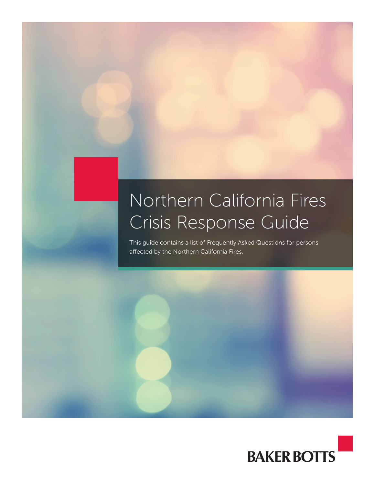## Northern California Fires Crisis Response Guide

This guide contains a list of Frequently Asked Questions for persons affected by the Northern California Fires.

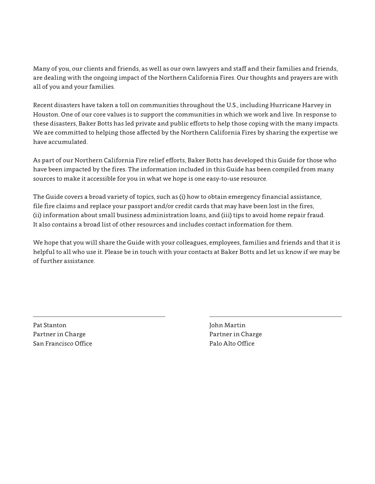Many of you, our clients and friends, as well as our own lawyers and staff and their families and friends, are dealing with the ongoing impact of the Northern California Fires. Our thoughts and prayers are with all of you and your families.

Recent disasters have taken a toll on communities throughout the U.S., including Hurricane Harvey in Houston. One of our core values is to support the communities in which we work and live. In response to these disasters, Baker Botts has led private and public efforts to help those coping with the many impacts. We are committed to helping those affected by the Northern California Fires by sharing the expertise we have accumulated.

As part of our Northern California Fire relief efforts, Baker Botts has developed this Guide for those who have been impacted by the fires. The information included in this Guide has been compiled from many sources to make it accessible for you in what we hope is one easy-to-use resource.

The Guide covers a broad variety of topics, such as (i) how to obtain emergency financial assistance, file fire claims and replace your passport and/or credit cards that may have been lost in the fires, (ii) information about small business administration loans, and (iii) tips to avoid home repair fraud. It also contains a broad list of other resources and includes contact information for them.

We hope that you will share the Guide with your colleagues, employees, families and friends and that it is helpful to all who use it. Please be in touch with your contacts at Baker Botts and let us know if we may be of further assistance.

Pat Stanton John Martin Partner in Charge **Partner in Charge Partner** in Charge **Partner** in Charge San Francisco Office Palo Alto Office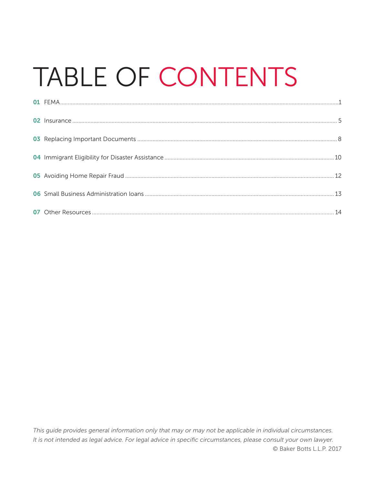# TABLE OF CONTENTS

This guide provides general information only that may or may not be applicable in individual circumstances. It is not intended as legal advice. For legal advice in specific circumstances, please consult your own lawyer. © Baker Botts L.L.P. 2017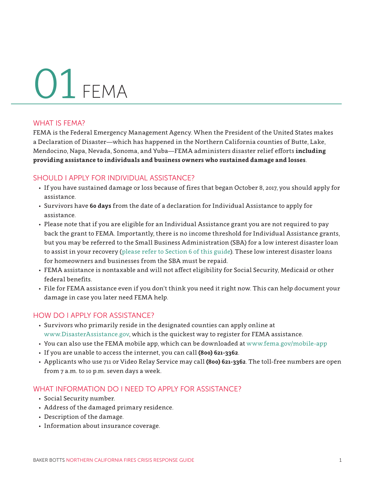## <span id="page-3-0"></span>FEMA 01

#### WHAT IS FEMA?

FEMA is the Federal Emergency Management Agency. When the President of the United States makes a Declaration of Disaster—which has happened in the Northern California counties of Butte, Lake, Mendocino, Napa, Nevada, Sonoma, and Yuba—FEMA administers disaster relief efforts **including providing assistance to individuals and business owners who sustained damage and losses**.

#### SHOULD I APPLY FOR INDIVIDUAL ASSISTANCE?

- If you have sustained damage or loss because of fires that began October 8, 2017, you should apply for assistance.
- Survivors have **60 days** from the date of a declaration for Individual Assistance to apply for assistance.
- Please note that if you are eligible for an Individual Assistance grant you are not required to pay back the grant to FEMA. Importantly, there is no income threshold for Individual Assistance grants, but you may be referred to the Small Business Administration (SBA) for a low interest disaster loan to assist in your recovery ([please refer to Section 6 of this guide](#page-15-0)). These low interest disaster loans for homeowners and businesses from the SBA must be repaid.
- FEMA assistance is nontaxable and will not affect eligibility for Social Security, Medicaid or other federal benefits.
- File for FEMA assistance even if you don't think you need it right now. This can help document your damage in case you later need FEMA help.

#### HOW DO I APPLY FOR ASSISTANCE?

- Survivors who primarily reside in the designated counties can apply online at www.DisasterAssistance.gov, which is the quickest way to register for FEMA assistance.
- You can also use the FEMA mobile app, which can be downloaded at www.fema.gov/mobile-app
- If you are unable to access the internet, you can call **(800) 621-3362**.
- Applicants who use 711 or Video Relay Service may call **(800) 621-3362**. The toll-free numbers are open from 7 a.m. to 10 p.m. seven days a week.

#### WHAT INFORMATION DO I NFFD TO APPIY FOR ASSISTANCE?

- Social Security number.
- Address of the damaged primary residence.
- Description of the damage.
- Information about insurance coverage.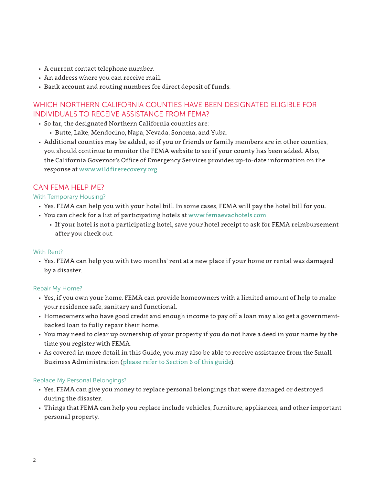- A current contact telephone number.
- An address where you can receive mail.
- Bank account and routing numbers for direct deposit of funds.

#### WHICH NORTHERN CALIFORNIA COUNTIES HAVE BEEN DESIGNATED ELIGIBLE FOR INDIVIDUALS TO RECEIVE ASSISTANCE FROM FEMA?

- So far, the designated Northern California counties are:
	- Butte, Lake, Mendocino, Napa, Nevada, Sonoma, and Yuba.
- Additional counties may be added, so if you or friends or family members are in other counties, you should continue to monitor the FEMA website to see if your county has been added. Also, the California Governor's Office of Emergency Services provides up-to-date information on the response at [www.wildfirerecovery.org](http://www.wildfirerecovery.org)

#### CAN FEMA HELP ME?

#### With Temporary Housing?

- Yes. FEMA can help you with your hotel bill. In some cases, FEMA will pay the hotel bill for you.
- You can check for a list of participating hotels at www.femaevachotels.com
	- If your hotel is not a participating hotel, save your hotel receipt to ask for FEMA reimbursement after you check out.

#### With Rent?

• Yes. FEMA can help you with two months' rent at a new place if your home or rental was damaged by a disaster.

#### Repair My Home?

- Yes, if you own your home. FEMA can provide homeowners with a limited amount of help to make your residence safe, sanitary and functional.
- Homeowners who have good credit and enough income to pay off a loan may also get a governmentbacked loan to fully repair their home.
- You may need to clear up ownership of your property if you do not have a deed in your name by the time you register with FEMA.
- As covered in more detail in this Guide, you may also be able to receive assistance from the Small Business Administration ([please refer to Section 6 of this guide\)](#page-15-0).

#### Replace My Personal Belongings?

- Yes. FEMA can give you money to replace personal belongings that were damaged or destroyed during the disaster.
- Things that FEMA can help you replace include vehicles, furniture, appliances, and other important personal property.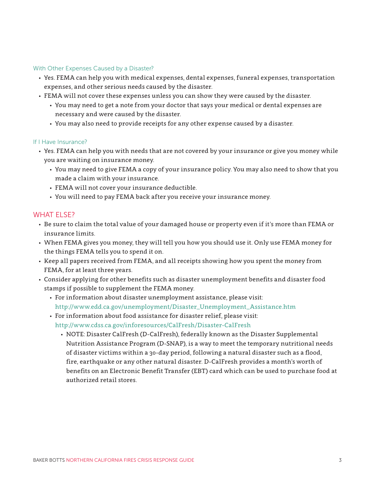#### With Other Expenses Caused by a Disaster?

- Yes. FEMA can help you with medical expenses, dental expenses, funeral expenses, transportation expenses, and other serious needs caused by the disaster.
- FEMA will not cover these expenses unless you can show they were caused by the disaster.
	- You may need to get a note from your doctor that says your medical or dental expenses are necessary and were caused by the disaster.
	- You may also need to provide receipts for any other expense caused by a disaster.

#### If I Have Insurance?

- Yes. FEMA can help you with needs that are not covered by your insurance or give you money while you are waiting on insurance money.
	- You may need to give FEMA a copy of your insurance policy. You may also need to show that you made a claim with your insurance.
	- FEMA will not cover your insurance deductible.
	- You will need to pay FEMA back after you receive your insurance money.

#### WHAT FLSE?

- Be sure to claim the total value of your damaged house or property even if it's more than FEMA or insurance limits.
- When FEMA gives you money, they will tell you how you should use it. Only use FEMA money for the things FEMA tells you to spend it on.
- Keep all papers received from FEMA, and all receipts showing how you spent the money from FEMA, for at least three years.
- Consider applying for other benefits such as disaster unemployment benefits and disaster food stamps if possible to supplement the FEMA money.
	- For information about disaster unemployment assistance, please visit: http://www.edd.ca.gov/unemployment/Disaster\_Unemployment\_Assistance.htm
	- For information about food assistance for disaster relief, please visit: http://www.cdss.ca.gov/inforesources/CalFresh/Disaster-CalFresh
		- NOTE: Disaster CalFresh (D-CalFresh), federally known as the Disaster Supplemental Nutrition Assistance Program (D-SNAP), is a way to meet the temporary nutritional needs of disaster victims within a 30-day period, following a natural disaster such as a flood, fire, earthquake or any other natural disaster. D-CalFresh provides a month's worth of benefits on an Electronic Benefit Transfer (EBT) card which can be used to purchase food at authorized retail stores.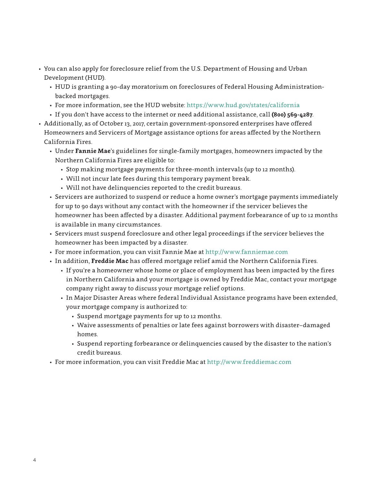- <span id="page-6-0"></span>• You can also apply for foreclosure relief from the U.S. Department of Housing and Urban Development (HUD).
	- HUD is granting a 90-day moratorium on foreclosures of Federal Housing Administrationbacked mortgages.
	- For more information, see the HUD website: https://www.hud.gov/states/california
	- If you don't have access to the internet or need additional assistance, call **(800) 569-4287**.
- Additionally, as of October 13, 2017, certain government-sponsored enterprises have offered Homeowners and Servicers of Mortgage assistance options for areas affected by the Northern California Fires.
	- Under **Fannie Mae**'s guidelines for single-family mortgages, homeowners impacted by the Northern California Fires are eligible to:
		- Stop making mortgage payments for three-month intervals (up to 12 months).
		- Will not incur late fees during this temporary payment break.
		- Will not have delinquencies reported to the credit bureaus.
	- Servicers are authorized to suspend or reduce a home owner's mortgage payments immediately for up to 90 days without any contact with the homeowner if the servicer believes the homeowner has been affected by a disaster. Additional payment forbearance of up to 12 months is available in many circumstances.
	- Servicers must suspend foreclosure and other legal proceedings if the servicer believes the homeowner has been impacted by a disaster.
	- For more information, you can visit Fannie Mae at http://www.fanniemae.com
	- In addition, **Freddie Mac** has offered mortgage relief amid the Northern California Fires.
		- If you're a homeowner whose home or place of employment has been impacted by the fires in Northern California and your mortgage is owned by Freddie Mac, contact your mortgage company right away to discuss your mortgage relief options.
		- In Major Disaster Areas where federal Individual Assistance programs have been extended, your mortgage company is authorized to:
			- Suspend mortgage payments for up to 12 months.
			- Waive assessments of penalties or late fees against borrowers with disaster–damaged homes.
			- Suspend reporting forbearance or delinquencies caused by the disaster to the nation's credit bureaus.
	- For more information, you can visit Freddie Mac at http://www.freddiemac.com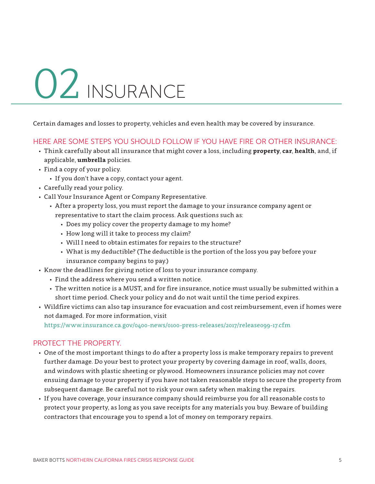# 02 INSURANCE

Certain damages and losses to property, vehicles and even health may be covered by insurance.

#### HERE ARE SOME STEPS YOU SHOULD FOLLOW IF YOU HAVE FIRE OR OTHER INSURANCE:

- Think carefully about all insurance that might cover a loss, including **property**, **car**, **health**, and, if applicable, **umbrella** policies.
- Find a copy of your policy.
	- If you don't have a copy, contact your agent.
- Carefully read your policy.
- Call Your Insurance Agent or Company Representative.
	- After a property loss, you must report the damage to your insurance company agent or representative to start the claim process. Ask questions such as:
		- Does my policy cover the property damage to my home?
		- How long will it take to process my claim?
		- Will I need to obtain estimates for repairs to the structure?
		- What is my deductible? (The deductible is the portion of the loss you pay before your insurance company begins to pay.)
- Know the deadlines for giving notice of loss to your insurance company.
	- Find the address where you send a written notice.
	- The written notice is a MUST, and for fire insurance, notice must usually be submitted within a short time period. Check your policy and do not wait until the time period expires.
- Wildfire victims can also tap insurance for evacuation and cost reimbursement, even if homes were not damaged. For more information, visit

https://www.insurance.ca.gov/0400-news/0100-press-releases/2017/release099-17.cfm

#### PROTECT THE PROPERTY.

- One of the most important things to do after a property loss is make temporary repairs to prevent further damage. Do your best to protect your property by covering damage in roof, walls, doors, and windows with plastic sheeting or plywood. Homeowners insurance policies may not cover ensuing damage to your property if you have not taken reasonable steps to secure the property from subsequent damage. Be careful not to risk your own safety when making the repairs.
- If you have coverage, your insurance company should reimburse you for all reasonable costs to protect your property, as long as you save receipts for any materials you buy. Beware of building contractors that encourage you to spend a lot of money on temporary repairs.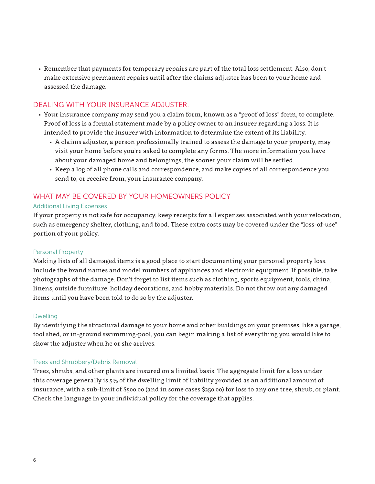• Remember that payments for temporary repairs are part of the total loss settlement. Also, don't make extensive permanent repairs until after the claims adjuster has been to your home and assessed the damage.

#### DEALING WITH YOUR INSURANCE ADJUSTER.

- Your insurance company may send you a claim form, known as a "proof of loss" form, to complete. Proof of loss is a formal statement made by a policy owner to an insurer regarding a loss. It is intended to provide the insurer with information to determine the extent of its liability.
	- A claims adjuster, a person professionally trained to assess the damage to your property, may visit your home before you're asked to complete any forms. The more information you have about your damaged home and belongings, the sooner your claim will be settled.
	- Keep a log of all phone calls and correspondence, and make copies of all correspondence you send to, or receive from, your insurance company.

#### WHAT MAY BE COVERED BY YOUR HOMEOWNERS POLICY

#### Additional Living Expenses

If your property is not safe for occupancy, keep receipts for all expenses associated with your relocation, such as emergency shelter, clothing, and food. These extra costs may be covered under the "loss-of-use" portion of your policy.

#### Personal Property

Making lists of all damaged items is a good place to start documenting your personal property loss. Include the brand names and model numbers of appliances and electronic equipment. If possible, take photographs of the damage. Don't forget to list items such as clothing, sports equipment, tools, china, linens, outside furniture, holiday decorations, and hobby materials. Do not throw out any damaged items until you have been told to do so by the adjuster.

#### Dwelling

By identifying the structural damage to your home and other buildings on your premises, like a garage, tool shed, or in-ground swimming-pool, you can begin making a list of everything you would like to show the adjuster when he or she arrives.

#### Trees and Shrubbery/Debris Removal

Trees, shrubs, and other plants are insured on a limited basis. The aggregate limit for a loss under this coverage generally is 5% of the dwelling limit of liability provided as an additional amount of insurance, with a sub-limit of \$500.00 (and in some cases \$250.00) for loss to any one tree, shrub, or plant. Check the language in your individual policy for the coverage that applies.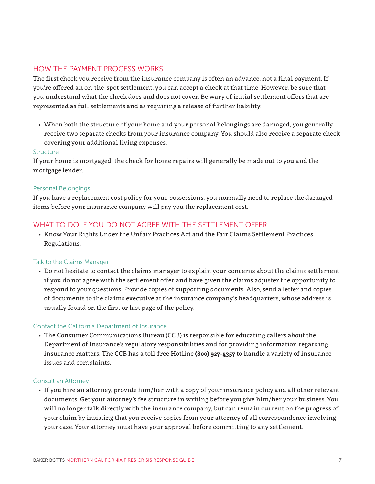#### HOW THE PAYMENT PROCESS WORKS.

The first check you receive from the insurance company is often an advance, not a final payment. If you're offered an on-the-spot settlement, you can accept a check at that time. However, be sure that you understand what the check does and does not cover. Be wary of initial settlement offers that are represented as full settlements and as requiring a release of further liability.

• When both the structure of your home and your personal belongings are damaged, you generally receive two separate checks from your insurance company. You should also receive a separate check covering your additional living expenses.

#### **Structure**

If your home is mortgaged, the check for home repairs will generally be made out to you and the mortgage lender.

#### Personal Belongings

If you have a replacement cost policy for your possessions, you normally need to replace the damaged items before your insurance company will pay you the replacement cost.

#### WHAT TO DO IF YOU DO NOT AGREE WITH THE SETTI EMENT OFFER.

• Know Your Rights Under the Unfair Practices Act and the Fair Claims Settlement Practices Regulations.

#### Talk to the Claims Manager

• Do not hesitate to contact the claims manager to explain your concerns about the claims settlement if you do not agree with the settlement offer and have given the claims adjuster the opportunity to respond to your questions. Provide copies of supporting documents. Also, send a letter and copies of documents to the claims executive at the insurance company's headquarters, whose address is usually found on the first or last page of the policy.

#### Contact the California Department of Insurance

• The Consumer Communications Bureau (CCB) is responsible for educating callers about the Department of Insurance's regulatory responsibilities and for providing information regarding insurance matters. The CCB has a toll-free Hotline **(800) 927-4357** to handle a variety of insurance issues and complaints.

#### Consult an Attorney

• If you hire an attorney, provide him/her with a copy of your insurance policy and all other relevant documents. Get your attorney's fee structure in writing before you give him/her your business. You will no longer talk directly with the insurance company, but can remain current on the progress of your claim by insisting that you receive copies from your attorney of all correspondence involving your case. Your attorney must have your approval before committing to any settlement.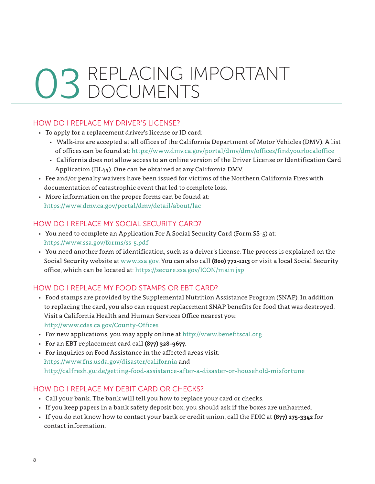## <span id="page-10-0"></span>REPLACING IMPORTANT DOCUMENTS 03

#### HOW DO I REPLACE MY DRIVER'S LICENSE?

- To apply for a replacement driver's license or ID card:
	- Walk-ins are accepted at all offices of the California Department of Motor Vehicles (DMV). A list of offices can be found at: https://www.dmv.ca.gov/portal/dmv/dmv/offices/findyourlocaloffice
	- California does not allow access to an online version of the Driver License or Identification Card Application (DL44). One can be obtained at any California DMV.
- Fee and/or penalty waivers have been issued for victims of the Northern California Fires with documentation of catastrophic event that led to complete loss.
- More information on the proper forms can be found at: https://www.dmv.ca.gov/portal/dmv/detail/about/lac

#### HOW DO I REPLACE MY SOCIAL SECURITY CARD?

- You need to complete an Application For A Social Security Card (Form SS-5) at: https://www.ssa.gov/forms/ss-5.pdf
- You need another form of identification, such as a driver's license. The process is explained on the Social Security website at www.ssa.gov. You can also call **(800) 772-1213** or visit a local Social Security office, which can be located at: https://secure.ssa.gov/ICON/main.jsp

#### HOW DO I REPLACE MY FOOD STAMPS OR EBT CARD?

- Food stamps are provided by the Supplemental Nutrition Assistance Program (SNAP). In addition to replacing the card, you also can request replacement SNAP benefits for food that was destroyed. Visit a California Health and Human Services Office nearest you: http://www.cdss.ca.gov/County-Offices
- For new applications, you may apply online at <http://www.benefitscal.org>
- For an EBT replacement card call **(877) 328-9677**.
- For inquiries on Food Assistance in the affected areas visit: https://www.fns.usda.gov/disaster/california and http://calfresh.guide/getting-food-assistance-after-a-disaster-or-household-misfortune

#### HOW DO I REPLACE MY DEBIT CARD OR CHECKS?

- Call your bank. The bank will tell you how to replace your card or checks.
- If you keep papers in a bank safety deposit box, you should ask if the boxes are unharmed.
- If you do not know how to contact your bank or credit union, call the FDIC at **(877) 275-3342** for contact information.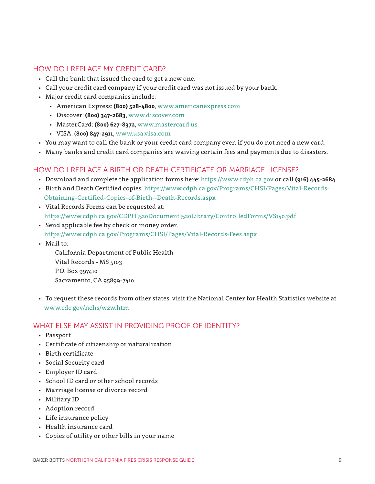#### HOW DO I REPLACE MY CREDIT CARD?

- Call the bank that issued the card to get a new one.
- Call your credit card company if your credit card was not issued by your bank.
- Major credit card companies include:
	- American Express: **(800) 528-4800**, www.americanexpress.com
	- Discover: **(800) 347-2683**, www.discover.com
	- MasterCard: **(800) 627-8372**, www.mastercard.us
	- VISA: (**800) 847-2911**, www.usa.visa.com
- You may want to call the bank or your credit card company even if you do not need a new card.
- Many banks and credit card companies are waiving certain fees and payments due to disasters.

#### HOW DO I REPLACE A BIRTH OR DEATH CERTIFICATE OR MARRIAGE LICENSE?

- Download and complete the application forms here: https://www.cdph.ca.gov or call **(916) 445-2684**.
- Birth and Death Certified copies: https://www.cdph.ca.gov/Programs/CHSI/Pages/Vital-Records-Obtaining-Certified-Copies-of-Birth--Death-Records.aspx
- Vital Records Forms can be requested at: https://www.cdph.ca.gov/CDPH%20Document%20Library/ControlledForms/VS140.pdf
- Send applicable fee by check or money order. https://www.cdph.ca.gov/Programs/CHSI/Pages/Vital-Records-Fees.aspx
- Mail to:

California Department of Public Health Vital Records - MS 5103 P.O. Box 997410 Sacramento, CA 95899-7410

• To request these records from other states, visit the National Center for Health Statistics website at www.cdc.gov/nchs/w2w.htm

#### WHAT ELSE MAY ASSIST IN PROVIDING PROOF OF IDENTITY?

- Passport
- Certificate of citizenship or naturalization
- Birth certificate
- Social Security card
- Employer ID card
- School ID card or other school records
- Marriage license or divorce record
- Military ID
- Adoption record
- Life insurance policy
- Health insurance card
- Copies of utility or other bills in your name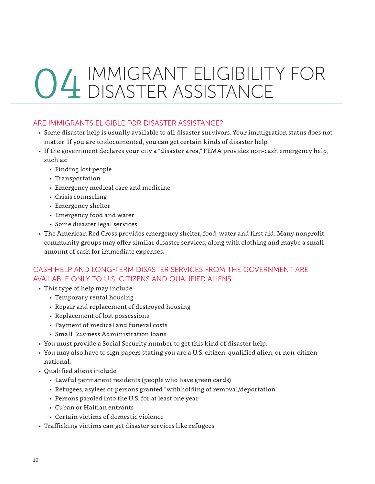## IMMIGRANT ELIGIBILITY FOR DISASTER ASSISTANCE 04

#### ARE IMMIGRANTS ELIGIBLE FOR DISASTER ASSISTANCE?

- Some disaster help is usually available to all disaster survivors. Your immigration status does not matter. If you are undocumented, you can get certain kinds of disaster help.
- If the government declares your city a "disaster area," FEMA provides non-cash emergency help, such as:
	- Finding lost people
	- Transportation
	- Emergency medical care and medicine
	- Crisis counseling
	- Emergency shelter
	- Emergency food and water
	- Some disaster legal services
- The American Red Cross provides emergency shelter, food, water and first aid. Many nonprofit community groups may offer similar disaster services, along with clothing and maybe a small amount of cash for immediate expenses.

#### CASH HELP AND LONG-TERM DISASTER SERVICES FROM THE GOVERNMENT ARE AVAILABLE ONLY TO U.S. CITIZENS AND QUALIFIED ALIENS.

- This type of help may include:
	- Temporary rental housing
	- Repair and replacement of destroyed housing
	- Replacement of lost possessions
	- Payment of medical and funeral costs
	- Small Business Administration loans
- You must provide a Social Security number to get this kind of disaster help.
- You may also have to sign papers stating you are a U.S. citizen, qualified alien, or non-citizen national.
- Qualified aliens include:
	- Lawful permanent residents (people who have green cards)
	- Refugees, asylees or persons granted "withholding of removal/deportation"
	- Persons paroled into the U.S. for at least one year
	- Cuban or Haitian entrants
	- Certain victims of domestic violence
- Trafficking victims can get disaster services like refugees.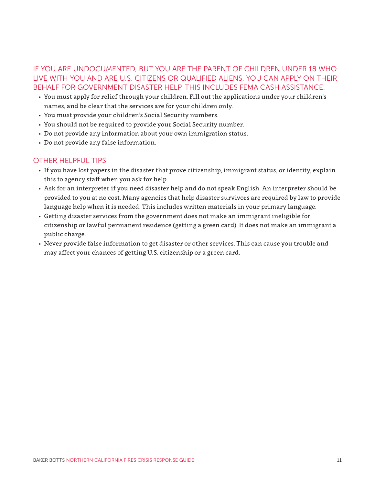#### IF YOU ARE UNDOCUMENTED, BUT YOU ARE THE PARENT OF CHILDREN UNDER 18 WHO LIVE WITH YOU AND ARE U.S. CITIZENS OR QUALIFIED ALIENS, YOU CAN APPLY ON THEIR BEHALF FOR GOVERNMENT DISASTER HELP. THIS INCLUDES FEMA CASH ASSISTANCE.

- You must apply for relief through your children. Fill out the applications under your children's names, and be clear that the services are for your children only.
- You must provide your children's Social Security numbers.
- You should not be required to provide your Social Security number.
- Do not provide any information about your own immigration status.
- Do not provide any false information.

#### OTHER HELPFUL TIPS.

- If you have lost papers in the disaster that prove citizenship, immigrant status, or identity, explain this to agency staff when you ask for help.
- Ask for an interpreter if you need disaster help and do not speak English. An interpreter should be provided to you at no cost. Many agencies that help disaster survivors are required by law to provide language help when it is needed. This includes written materials in your primary language.
- Getting disaster services from the government does not make an immigrant ineligible for citizenship or lawful permanent residence (getting a green card). It does not make an immigrant a public charge.
- Never provide false information to get disaster or other services. This can cause you trouble and may affect your chances of getting U.S. citizenship or a green card.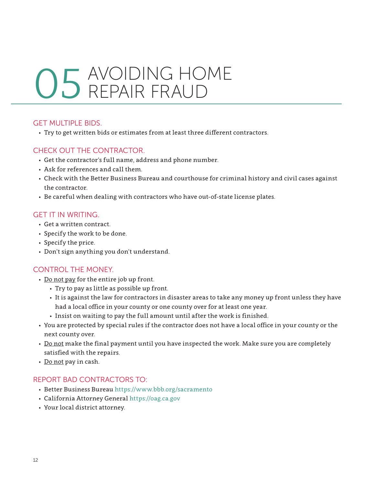### <span id="page-14-0"></span>AVOIDING HOME REPAIR FRAUD 05

#### GET MULTIPLE BIDS.

• Try to get written bids or estimates from at least three different contractors.

#### CHECK OUT THE CONTRACTOR.

- Get the contractor's full name, address and phone number.
- Ask for references and call them.
- Check with the Better Business Bureau and courthouse for criminal history and civil cases against the contractor.
- Be careful when dealing with contractors who have out-of-state license plates.

#### GET IT IN WRITING.

- Get a written contract.
- Specify the work to be done.
- Specify the price.
- Don't sign anything you don't understand.

#### CONTROL THE MONEY.

- Do not pay for the entire job up front.
	- Try to pay as little as possible up front.
	- It is against the law for contractors in disaster areas to take any money up front unless they have had a local office in your county or one county over for at least one year.
	- Insist on waiting to pay the full amount until after the work is finished.
- You are protected by special rules if the contractor does not have a local office in your county or the next county over.
- Do not make the final payment until you have inspected the work. Make sure you are completely satisfied with the repairs.
- Do not pay in cash.

#### REPORT BAD CONTRACTORS TO:

- Better Business Bureau https://www.bbb.org/sacramento
- California Attorney General https://oag.ca.gov
- Your local district attorney.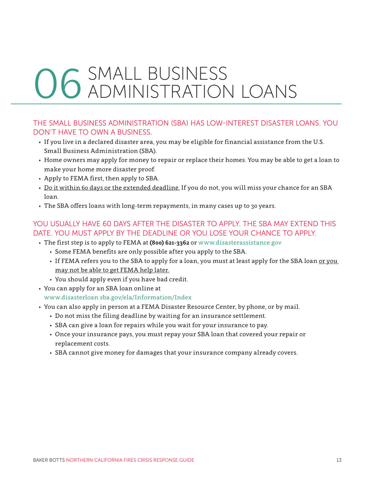## <span id="page-15-0"></span>06 SMALL BUSINESS ADMINISTRATION LOANS

#### THE SMALL BUSINESS ADMINISTRATION (SBA) HAS LOW-INTEREST DISASTER LOANS. YOU DON'T HAVE TO OWN A BUSINESS.

- If you live in a declared disaster area, you may be eligible for financial assistance from the U.S. Small Business Administration (SBA).
- Home owners may apply for money to repair or replace their homes. You may be able to get a loan to make your home more disaster proof.
- Apply to FEMA first, then apply to SBA.
- Do it within 60 days or the extended deadline. If you do not, you will miss your chance for an SBA loan.
- The SBA offers loans with long-term repayments, in many cases up to 30 years.

#### YOU USUALLY HAVE 60 DAYS AFTER THE DISASTER TO APPLY. THE SBA MAY EXTEND THIS DATE. YOU MUST APPLY BY THE DEADLINE OR YOU LOSE YOUR CHANCE TO APPLY.

- The first step is to apply to FEMA at **(800) 621-3362** or www.disasterassistance.gov
	- Some FEMA benefits are only possible after you apply to the SBA.
	- If FEMA refers you to the SBA to apply for a loan, you must at least apply for the SBA loan or you may not be able to get FEMA help later.
	- You should apply even if you have bad credit.
- You can apply for an SBA loan online at
	- [www.disasterloan.sba.gov/ela/Information/Index](https://disasterloan.sba.gov/ela/Information/Index)
- You can also apply in person at a FEMA Disaster Resource Center, by phone, or by mail.
	- Do not miss the filing deadline by waiting for an insurance settlement.
	- SBA can give a loan for repairs while you wait for your insurance to pay.
	- Once your insurance pays, you must repay your SBA loan that covered your repair or replacement costs.
	- SBA cannot give money for damages that your insurance company already covers.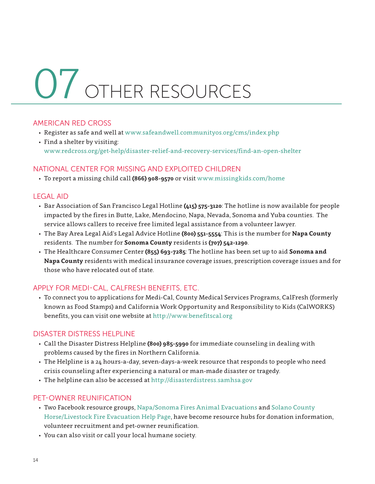# <span id="page-16-0"></span>OTHER RESOURCES 07

#### AMERICAN RED CROSS

- Register as safe and well at [www.safeandwell.communityos.org/cms/index.php](https://safeandwell.communityos.org/cms/index.php)
- Find a shelter by visiting: www.redcross.org/get-help/disaster-relief-and-recovery-services/find-an-open-shelter

#### NATIONAL CENTER FOR MISSING AND EXPLOITED CHILDREN

• To report a missing child call **(866) 908-9570** or visit www.missingkids.com/home

#### LEGAL AID

- Bar Association of San Francisco Legal Hotline **(415) 575-3120**: The hotline is now available for people impacted by the fires in Butte, Lake, Mendocino, Napa, Nevada, Sonoma and Yuba counties. The service allows callers to receive free limited legal assistance from a volunteer lawyer.
- The Bay Area Legal Aid's Legal Advice Hotline **(800) 551-5554**: This is the number for **Napa County** residents. The number for **Sonoma County** residents is **(707) 542-1290**.
- The Healthcare Consumer Center **(855) 693-7285**: The hotline has been set up to aid **Sonoma and Napa County** residents with medical insurance coverage issues, prescription coverage issues and for those who have relocated out of state.

#### APPLY FOR MEDI-CAL, CALFRESH BENEFITS, ETC.

• To connect you to applications for Medi-Cal, County Medical Services Programs, CalFresh (formerly known as Food Stamps) and California Work Opportunity and Responsibility to Kids (CalWORKS) benefits, you can visit one website at <http://www.benefitscal.org>

#### DISASTER DISTRESS HELPLINE

- Call the Disaster Distress Helpline **(800) 985-5990** for immediate counseling in dealing with problems caused by the fires in Northern California.
- The Helpline is a 24 hours-a-day, seven-days-a-week resource that responds to people who need crisis counseling after experiencing a natural or man-made disaster or tragedy.
- The helpline can also be accessed at http://disasterdistress.samhsa.gov

#### PET-OWNER REUNIFICATION

- Two Facebook resource groups, [Napa/Sonoma Fires Animal Evacuations](https://www.facebook.com/groups/NapaSantaRosaFireAnimalEvacuations/) and [Solano County](https://www.facebook.com/groups/510555622431697/?notif_id=1507654368141846¬if_t=group_r2j_approved)  [Horse/Livestock Fire Evacuation Help Page,](https://www.facebook.com/groups/510555622431697/?notif_id=1507654368141846¬if_t=group_r2j_approved) have become resource hubs for donation information, volunteer recruitment and pet-owner reunification.
- You can also visit or call your local humane society.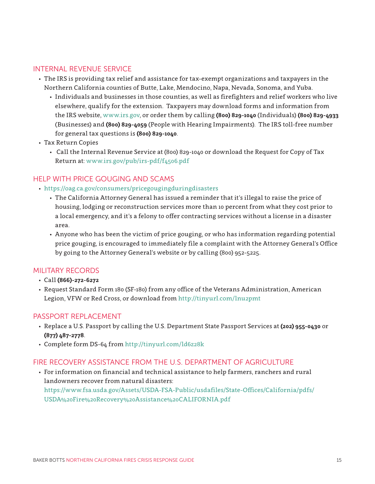#### <span id="page-17-0"></span>INTERNAL REVENUE SERVICE

- The IRS is providing tax relief and assistance for tax-exempt organizations and taxpayers in the Northern California counties of Butte, Lake, Mendocino, Napa, Nevada, Sonoma, and Yuba.
	- Individuals and businesses in those counties, as well as firefighters and relief workers who live elsewhere, qualify for the extension. Taxpayers may download forms and information from the IRS website, www.irs.gov, or order them by calling **(800) 829-1040** (Individuals) **(800) 829-4933** (Businesses) and **(800) 829-4059** (People with Hearing Impairments). The IRS toll-free number for general tax questions is **(800) 829-1040**.
- Tax Return Copies
	- Call the Internal Revenue Service at (800) 829-1040 or download the Request for Copy of Tax Return at: www.irs.gov/pub/irs-pdf/f4506.pdf

#### HELP WITH PRICE GOUGING AND SCAMS

- https://oag.ca.gov/consumers/pricegougingduringdisasters
	- The California Attorney General has issued a reminder that it's illegal to raise the price of housing, lodging or reconstruction services more than 10 percent from what they cost prior to a local emergency, and it's a felony to offer contracting services without a license in a disaster area.
	- Anyone who has been the victim of price gouging, or who has information regarding potential price gouging, is encouraged to immediately file a complaint with the Attorney General's Office by going to the Attorney General's website or by calling (800) 952-5225.

#### MILITARY RECORDS

- Call **(866)-272-6272**
- Request Standard Form 180 (SF-180) from any office of the Veterans Administration, American Legion, VFW or Red Cross, or download from http://tinyurl.com/lnu2pmt

#### PASSPORT REPLACEMENT

- Replace a U.S. Passport by calling the U.S. Department State Passport Services at **(202) 955-0430** or **(877) 487-2778**.
- Complete form DS-64 from http://tinyurl.com/ld6z28k

#### FIRE RECOVERY ASSISTANCE FROM THE U.S. DEPARTMENT OF AGRICULTURE

• For information on financial and technical assistance to help farmers, ranchers and rural landowners recover from natural disasters: https://www.fsa.usda.gov/Assets/USDA-FSA-Public/usdafiles/State-Offices/California/pdfs/ USDA%20Fire%20Recovery%20Assistance%20CALIFORNIA.pdf